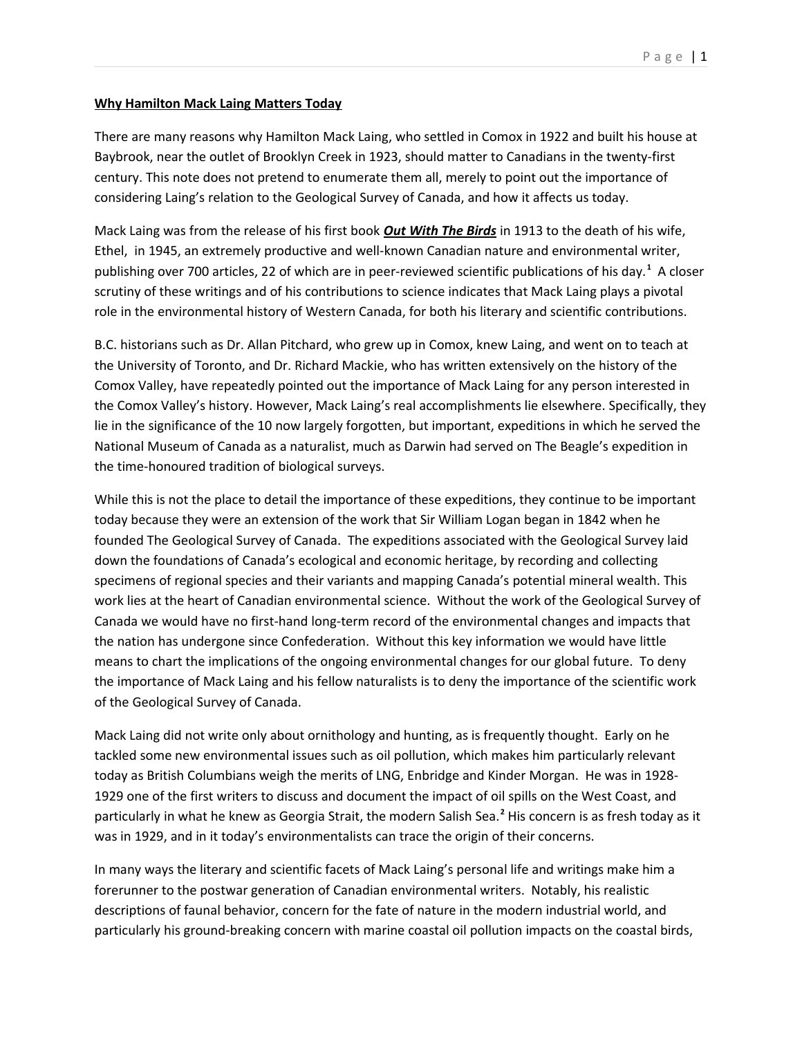## **Why Hamilton Mack Laing Matters Today**

There are many reasons why Hamilton Mack Laing, who settled in Comox in 1922 and built his house at Baybrook, near the outlet of Brooklyn Creek in 1923, should matter to Canadians in the twenty-first century. This note does not pretend to enumerate them all, merely to point out the importance of considering Laing's relation to the Geological Survey of Canada, and how it affects us today.

Mack Laing was from the release of his first book *Out With The Birds* in 1913 to the death of his wife, Ethel, in 1945, an extremely productive and well-known Canadian nature and environmental writer, publishing over 700 articles, 22 of which are in peer-reviewed scientific publications of his day. **<sup>1</sup>** A closer scrutiny of these writings and of his contributions to science indicates that Mack Laing plays a pivotal role in the environmental history of Western Canada, for both his literary and scientific contributions.

B.C. historians such as Dr. Allan Pitchard, who grew up in Comox, knew Laing, and went on to teach at the University of Toronto, and Dr. Richard Mackie, who has written extensively on the history of the Comox Valley, have repeatedly pointed out the importance of Mack Laing for any person interested in the Comox Valley's history. However, Mack Laing's real accomplishments lie elsewhere. Specifically, they lie in the significance of the 10 now largely forgotten, but important, expeditions in which he served the National Museum of Canada as a naturalist, much as Darwin had served on The Beagle's expedition in the time-honoured tradition of biological surveys.

While this is not the place to detail the importance of these expeditions, they continue to be important today because they were an extension of the work that Sir William Logan began in 1842 when he founded The Geological Survey of Canada. The expeditions associated with the Geological Survey laid down the foundations of Canada's ecological and economic heritage, by recording and collecting specimens of regional species and their variants and mapping Canada's potential mineral wealth. This work lies at the heart of Canadian environmental science. Without the work of the Geological Survey of Canada we would have no first-hand long-term record of the environmental changes and impacts that the nation has undergone since Confederation. Without this key information we would have little means to chart the implications of the ongoing environmental changes for our global future. To deny the importance of Mack Laing and his fellow naturalists is to deny the importance of the scientific work of the Geological Survey of Canada.

Mack Laing did not write only about ornithology and hunting, as is frequently thought. Early on he tackled some new environmental issues such as oil pollution, which makes him particularly relevant today as British Columbians weigh the merits of LNG, Enbridge and Kinder Morgan. He was in 1928- 1929 one of the first writers to discuss and document the impact of oil spills on the West Coast, and particularly in what he knew as Georgia Strait, the modern Salish Sea.**<sup>2</sup>** His concern is as fresh today as it was in 1929, and in it today's environmentalists can trace the origin of their concerns.

In many ways the literary and scientific facets of Mack Laing's personal life and writings make him a forerunner to the postwar generation of Canadian environmental writers. Notably, his realistic descriptions of faunal behavior, concern for the fate of nature in the modern industrial world, and particularly his ground-breaking concern with marine coastal oil pollution impacts on the coastal birds,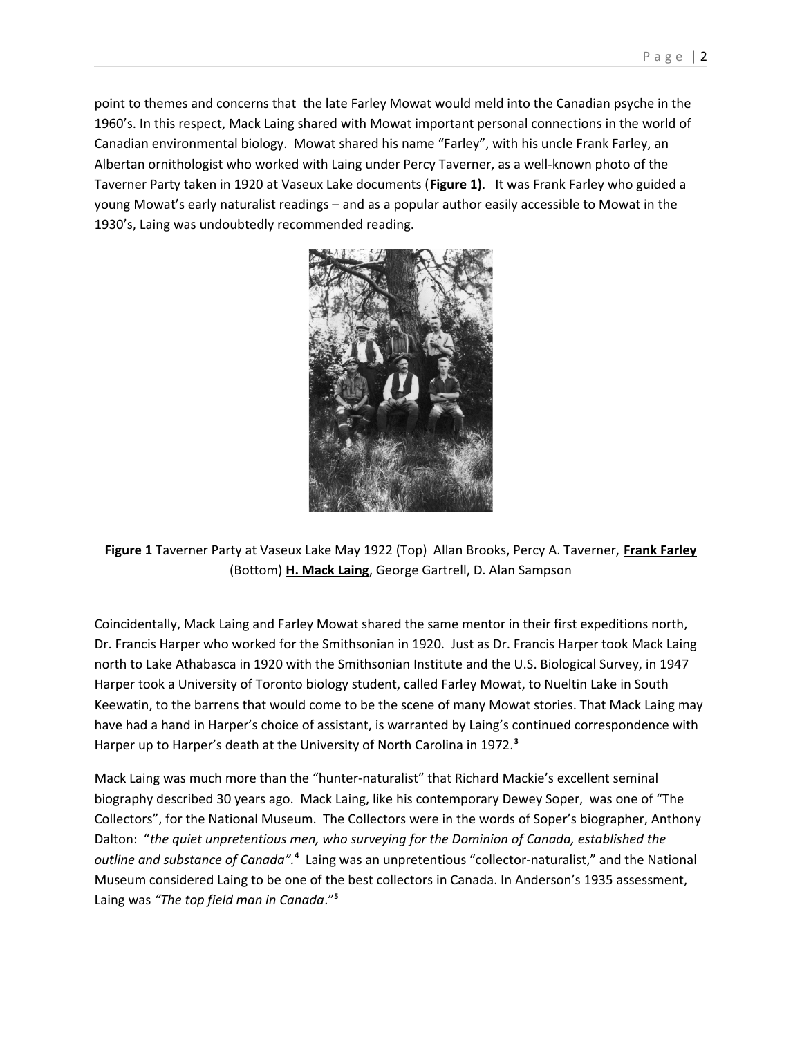point to themes and concerns that the late Farley Mowat would meld into the Canadian psyche in the 1960's. In this respect, Mack Laing shared with Mowat important personal connections in the world of Canadian environmental biology. Mowat shared his name "Farley", with his uncle Frank Farley, an Albertan ornithologist who worked with Laing under Percy Taverner, as a well-known photo of the Taverner Party taken in 1920 at Vaseux Lake documents (**Figure 1)**. It was Frank Farley who guided a young Mowat's early naturalist readings – and as a popular author easily accessible to Mowat in the 1930's, Laing was undoubtedly recommended reading.



**Figure 1** Taverner Party at Vaseux Lake May 1922 (Top) Allan Brooks, Percy A. Taverner, **Frank Farley** (Bottom) **H. Mack Laing**, George Gartrell, D. Alan Sampson

Coincidentally, Mack Laing and Farley Mowat shared the same mentor in their first expeditions north, Dr. Francis Harper who worked for the Smithsonian in 1920. Just as Dr. Francis Harper took Mack Laing north to Lake Athabasca in 1920 with the Smithsonian Institute and the U.S. Biological Survey, in 1947 Harper took a University of Toronto biology student, called Farley Mowat, to Nueltin Lake in South Keewatin, to the barrens that would come to be the scene of many Mowat stories. That Mack Laing may have had a hand in Harper's choice of assistant, is warranted by Laing's continued correspondence with Harper up to Harper's death at the University of North Carolina in 1972.**<sup>3</sup>**

Mack Laing was much more than the "hunter-naturalist" that Richard Mackie's excellent seminal biography described 30 years ago. Mack Laing, like his contemporary Dewey Soper, was one of "The Collectors", for the National Museum. The Collectors were in the words of Soper's biographer, Anthony Dalton: "*the quiet unpretentious men, who surveying for the Dominion of Canada, established the*  outline and substance of Canada".<sup>4</sup> Laing was an unpretentious "collector-naturalist," and the National Museum considered Laing to be one of the best collectors in Canada. In Anderson's 1935 assessment, Laing was *"The top field man in Canada*."**<sup>5</sup>**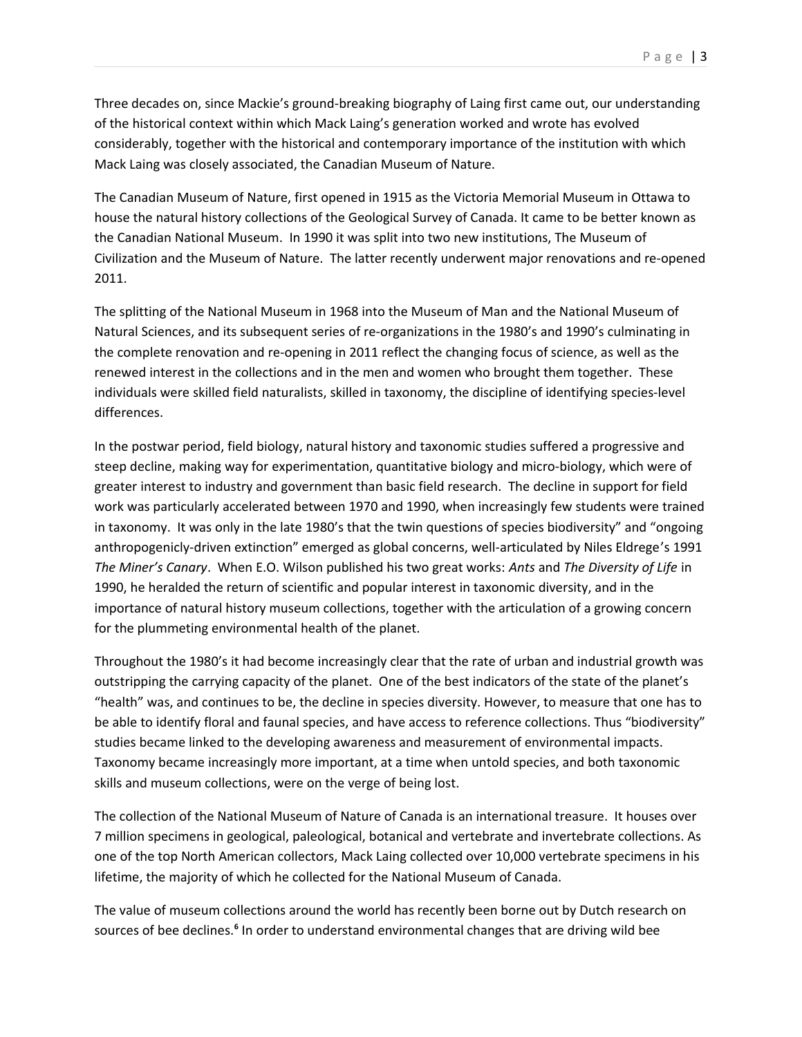Three decades on, since Mackie's ground-breaking biography of Laing first came out, our understanding of the historical context within which Mack Laing's generation worked and wrote has evolved considerably, together with the historical and contemporary importance of the institution with which Mack Laing was closely associated, the Canadian Museum of Nature.

The Canadian Museum of Nature, first opened in 1915 as the Victoria Memorial Museum in Ottawa to house the natural history collections of the Geological Survey of Canada. It came to be better known as the Canadian National Museum. In 1990 it was split into two new institutions, The Museum of Civilization and the Museum of Nature. The latter recently underwent major renovations and re-opened 2011.

The splitting of the National Museum in 1968 into the Museum of Man and the National Museum of Natural Sciences, and its subsequent series of re-organizations in the 1980's and 1990's culminating in the complete renovation and re-opening in 2011 reflect the changing focus of science, as well as the renewed interest in the collections and in the men and women who brought them together. These individuals were skilled field naturalists, skilled in taxonomy, the discipline of identifying species-level differences.

In the postwar period, field biology, natural history and taxonomic studies suffered a progressive and steep decline, making way for experimentation, quantitative biology and micro-biology, which were of greater interest to industry and government than basic field research. The decline in support for field work was particularly accelerated between 1970 and 1990, when increasingly few students were trained in taxonomy. It was only in the late 1980's that the twin questions of species biodiversity" and "ongoing anthropogenicly-driven extinction" emerged as global concerns, well-articulated by Niles Eldrege's 1991 *The Miner's Canary*. When E.O. Wilson published his two great works: *Ants* and *The Diversity of Life* in 1990, he heralded the return of scientific and popular interest in taxonomic diversity, and in the importance of natural history museum collections, together with the articulation of a growing concern for the plummeting environmental health of the planet.

Throughout the 1980's it had become increasingly clear that the rate of urban and industrial growth was outstripping the carrying capacity of the planet. One of the best indicators of the state of the planet's "health" was, and continues to be, the decline in species diversity. However, to measure that one has to be able to identify floral and faunal species, and have access to reference collections. Thus "biodiversity" studies became linked to the developing awareness and measurement of environmental impacts. Taxonomy became increasingly more important, at a time when untold species, and both taxonomic skills and museum collections, were on the verge of being lost.

The collection of the National Museum of Nature of Canada is an international treasure. It houses over 7 million specimens in geological, paleological, botanical and vertebrate and invertebrate collections. As one of the top North American collectors, Mack Laing collected over 10,000 vertebrate specimens in his lifetime, the majority of which he collected for the National Museum of Canada.

The value of museum collections around the world has recently been borne out by Dutch research on sources of bee declines.**<sup>6</sup>** In order to understand environmental changes that are driving wild bee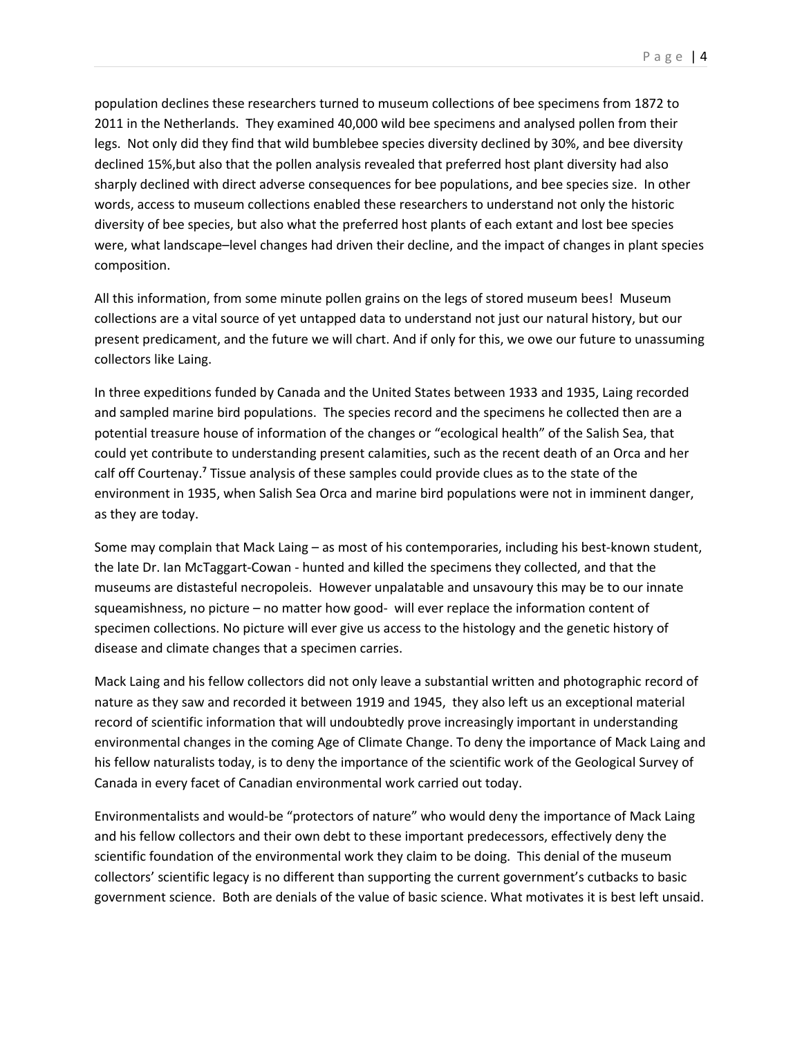population declines these researchers turned to museum collections of bee specimens from 1872 to 2011 in the Netherlands. They examined 40,000 wild bee specimens and analysed pollen from their legs. Not only did they find that wild bumblebee species diversity declined by 30%, and bee diversity declined 15%,but also that the pollen analysis revealed that preferred host plant diversity had also sharply declined with direct adverse consequences for bee populations, and bee species size. In other words, access to museum collections enabled these researchers to understand not only the historic diversity of bee species, but also what the preferred host plants of each extant and lost bee species were, what landscape–level changes had driven their decline, and the impact of changes in plant species composition.

All this information, from some minute pollen grains on the legs of stored museum bees! Museum collections are a vital source of yet untapped data to understand not just our natural history, but our present predicament, and the future we will chart. And if only for this, we owe our future to unassuming collectors like Laing.

In three expeditions funded by Canada and the United States between 1933 and 1935, Laing recorded and sampled marine bird populations. The species record and the specimens he collected then are a potential treasure house of information of the changes or "ecological health" of the Salish Sea, that could yet contribute to understanding present calamities, such as the recent death of an Orca and her calf off Courtenay.<sup>7</sup> Tissue analysis of these samples could provide clues as to the state of the environment in 1935, when Salish Sea Orca and marine bird populations were not in imminent danger, as they are today.

Some may complain that Mack Laing – as most of his contemporaries, including his best-known student, the late Dr. Ian McTaggart-Cowan - hunted and killed the specimens they collected, and that the museums are distasteful necropoleis. However unpalatable and unsavoury this may be to our innate squeamishness, no picture – no matter how good- will ever replace the information content of specimen collections. No picture will ever give us access to the histology and the genetic history of disease and climate changes that a specimen carries.

Mack Laing and his fellow collectors did not only leave a substantial written and photographic record of nature as they saw and recorded it between 1919 and 1945, they also left us an exceptional material record of scientific information that will undoubtedly prove increasingly important in understanding environmental changes in the coming Age of Climate Change. To deny the importance of Mack Laing and his fellow naturalists today, is to deny the importance of the scientific work of the Geological Survey of Canada in every facet of Canadian environmental work carried out today.

Environmentalists and would-be "protectors of nature" who would deny the importance of Mack Laing and his fellow collectors and their own debt to these important predecessors, effectively deny the scientific foundation of the environmental work they claim to be doing. This denial of the museum collectors' scientific legacy is no different than supporting the current government's cutbacks to basic government science. Both are denials of the value of basic science. What motivates it is best left unsaid.